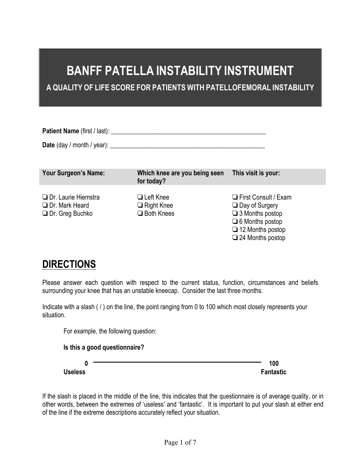# **BANFF PATELLA INSTABILITY INSTRUMENT**

**A QUALITY OF LIFE SCORE FOR PATIENTS WITH PATELLOFEMORAL INSTABILITY**

Patient Name (first / last): **Patient Name** (first and the state of the state of the state of the state of the state of the state of the state of the state of the state of the state of the state of the state of the state o

**Date** (day / month / year): **\_\_\_\_\_\_\_\_\_\_\_\_\_\_\_\_\_\_\_\_\_\_\_\_\_\_\_\_\_\_\_\_\_\_\_\_\_\_\_\_\_\_\_\_\_\_\_\_**

For example, the following question:

| <b>Your Surgeon's Name:</b>                                                   | Which knee are you being seen<br>for today?                  | This visit is your:                                                                                                                                     |
|-------------------------------------------------------------------------------|--------------------------------------------------------------|---------------------------------------------------------------------------------------------------------------------------------------------------------|
| <b>Dr.</b> Laurie Hiemstra<br><b>Dr. Mark Heard</b><br>$\Box$ Dr. Greg Buchko | <b>□</b> Left Knee<br>$\Box$ Right Knee<br>$\Box$ Both Knees | First Consult / Exam<br>$\Box$ Day of Surgery<br>$\Box$ 3 Months postop<br>$\Box$ 6 Months postop<br>$\Box$ 12 Months postop<br>$\Box$ 24 Months postop |

# **DIRECTIONS**

Please answer each question with respect to the current status, function, circumstances and beliefs surrounding your knee that has an unstable kneecap. Consider the last three months.

Indicate with a slash ( / ) on the line, the point ranging from 0 to 100 which most closely represents your situation.

| Is this a good questionnaire? | 0 |
|-------------------------------|---|
|                               |   |

If the slash is placed in the middle of the line, this indicates that the questionnaire is of average quality, or in other words, between the extremes of 'useless' and 'fantastic'. It is important to put your slash at either end of the line if the extreme descriptions accurately reflect your situation.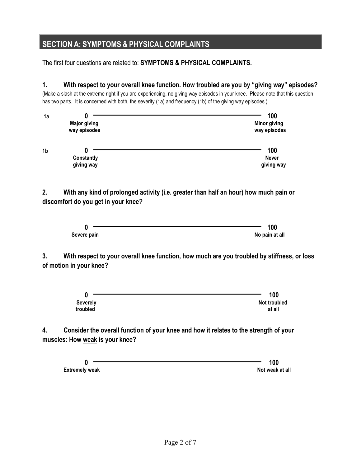## **SECTION A: SYMPTOMS & PHYSICAL COMPLAINTS**

The first four questions are related to: **SYMPTOMS & PHYSICAL COMPLAINTS.**

**1. With respect to your overall knee function. How troubled are you by "giving way" episodes?** 

(Make a slash at the extreme right if you are experiencing, no giving way episodes in your knee. Please note that this question has two parts. It is concerned with both, the severity (1a) and frequency (1b) of the giving way episodes.)

| 1a | <b>Major giving</b><br>way episodes | 100<br><b>Minor giving</b><br>way episodes |
|----|-------------------------------------|--------------------------------------------|
| 1b | Constantly<br>giving way            | 100<br><b>Never</b><br>giving way          |

**2. With any kind of prolonged activity (i.e. greater than half an hour) how much pain or discomfort do you get in your knee?** 



**3. With respect to your overall knee function, how much are you troubled by stiffness, or loss of motion in your knee?** 

|                 | 100          |
|-----------------|--------------|
| <b>Severely</b> | Not troubled |
| troubled        | at all       |

**4. Consider the overall function of your knee and how it relates to the strength of your muscles: How weak is your knee?** 

**0 100 Extremely weak** at all and the set of the set of the set of the set of the set of the set of the set of the set of the set of the set of the set of the set of the set of the set of the set of the set of the set of the set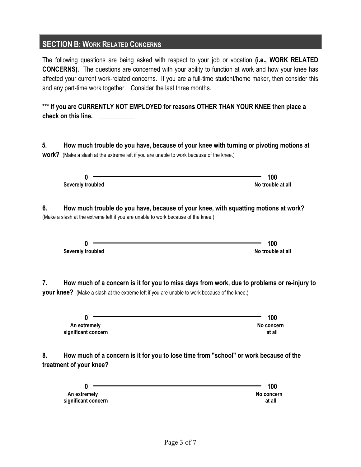#### **SECTION B: WORK RELATED CONCERNS**

The following questions are being asked with respect to your job or vocation **(i.e., WORK RELATED CONCERNS).** The questions are concerned with your ability to function at work and how your knee has affected your current work-related concerns. If you are a full-time student/home maker, then consider this and any part-time work together. Consider the last three months.

**\*\*\* If you are CURRENTLY NOT EMPLOYED for reasons OTHER THAN YOUR KNEE then place a check on this line. \_\_\_\_\_\_\_\_\_\_\_**

**5. How much trouble do you have, because of your knee with turning or pivoting motions at work?** (Make a slash at the extreme left if you are unable to work because of the knee.)

**Severely troubled No trouble No trouble No trouble at all 6. How much trouble do you have, because of your knee, with squatting motions at work?**

**0 100**

(Make a slash at the extreme left if you are unable to work because of the knee.)

|                   | 100               |
|-------------------|-------------------|
| Severely troubled | No trouble at all |

**7. How much of a concern is it for you to miss days from work, due to problems or re-injury to your knee?** (Make a slash at the extreme left if you are unable to work because of the knee.)

**0** 100 **100** An extremely **and the extremely significant concern at all**

**8. How much of a concern is it for you to lose time from "school" or work because of the treatment of your knee?**

|                     | 100        |
|---------------------|------------|
| An extremely        | No concern |
| significant concern | at all     |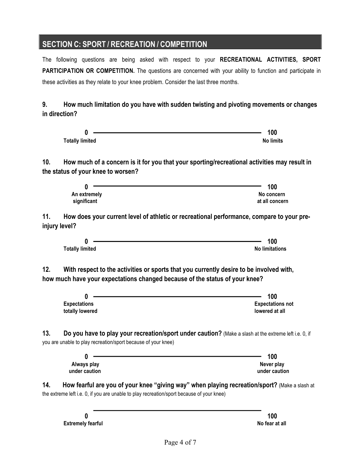## **SECTION C: SPORT / RECREATION / COMPETITION**

The following questions are being asked with respect to your **RECREATIONAL ACTIVITIES, SPORT**  PARTICIPATION OR COMPETITION. The questions are concerned with your ability to function and participate in these activities as they relate to your knee problem. Consider the last three months.

**9. How much limitation do you have with sudden twisting and pivoting movements or changes in direction?**

|     | 0                                                                                                                              | 100                                                                                                   |
|-----|--------------------------------------------------------------------------------------------------------------------------------|-------------------------------------------------------------------------------------------------------|
|     | <b>Totally limited</b>                                                                                                         | <b>No limits</b>                                                                                      |
| 10. |                                                                                                                                | How much of a concern is it for you that your sporting/recreational activities may result in          |
|     | the status of your knee to worsen?                                                                                             |                                                                                                       |
|     | 0                                                                                                                              | 100                                                                                                   |
|     | An extremely                                                                                                                   | No concern                                                                                            |
|     | significant                                                                                                                    | at all concern                                                                                        |
| 11. | injury level?                                                                                                                  | How does your current level of athletic or recreational performance, compare to your pre-             |
|     | 0                                                                                                                              | 100                                                                                                   |
|     | <b>Totally limited</b>                                                                                                         | <b>No limitations</b>                                                                                 |
|     | the contract of the contract of the contract of the contract of the contract of<br>N<br><b>Expectations</b><br>totally lowered | 100<br><b>Expectations not</b><br>lowered at all                                                      |
| 13. | you are unable to play recreation/sport because of your knee)                                                                  | Do you have to play your recreation/sport under caution? (Make a slash at the extreme left i.e. 0, if |
|     | 0                                                                                                                              | 100                                                                                                   |
|     | Always play                                                                                                                    | Never play                                                                                            |
|     | under caution                                                                                                                  | under caution                                                                                         |
| 14. | the extreme left i.e. 0, if you are unable to play recreation/sport because of your knee)                                      | How fearful are you of your knee "giving way" when playing recreation/sport? (Make a slash at         |
|     | 0                                                                                                                              | 100                                                                                                   |
|     | <b>Extremely fearful</b>                                                                                                       | No fear at all                                                                                        |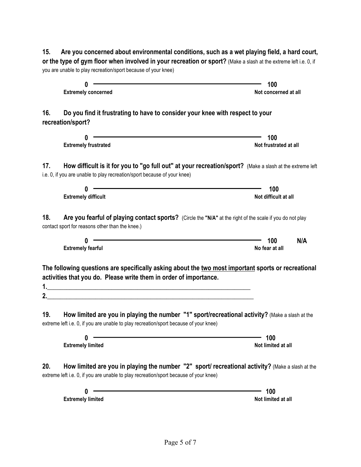| Are you concerned about environmental conditions, such as a wet playing field, a hard court,<br>15.                                                                                                                                                                                                                                                                                                                                                                                                                                                                                                                                      |                              |
|------------------------------------------------------------------------------------------------------------------------------------------------------------------------------------------------------------------------------------------------------------------------------------------------------------------------------------------------------------------------------------------------------------------------------------------------------------------------------------------------------------------------------------------------------------------------------------------------------------------------------------------|------------------------------|
| or the type of gym floor when involved in your recreation or sport? (Make a slash at the extreme left i.e. 0, if<br>you are unable to play recreation/sport because of your knee)                                                                                                                                                                                                                                                                                                                                                                                                                                                        |                              |
|                                                                                                                                                                                                                                                                                                                                                                                                                                                                                                                                                                                                                                          |                              |
| 0                                                                                                                                                                                                                                                                                                                                                                                                                                                                                                                                                                                                                                        | 100                          |
| <b>Extremely concerned</b>                                                                                                                                                                                                                                                                                                                                                                                                                                                                                                                                                                                                               | Not concerned at all         |
| Do you find it frustrating to have to consider your knee with respect to your<br>16.<br>recreation/sport?                                                                                                                                                                                                                                                                                                                                                                                                                                                                                                                                |                              |
|                                                                                                                                                                                                                                                                                                                                                                                                                                                                                                                                                                                                                                          |                              |
| 0<br><b>Extremely frustrated</b>                                                                                                                                                                                                                                                                                                                                                                                                                                                                                                                                                                                                         | 100<br>Not frustrated at all |
| How difficult is it for you to "go full out" at your recreation/sport? (Make a slash at the extreme left<br>17.<br>i.e. 0, if you are unable to play recreation/sport because of your knee)                                                                                                                                                                                                                                                                                                                                                                                                                                              |                              |
| 0                                                                                                                                                                                                                                                                                                                                                                                                                                                                                                                                                                                                                                        | 100                          |
| <b>Extremely difficult</b>                                                                                                                                                                                                                                                                                                                                                                                                                                                                                                                                                                                                               | Not difficult at all         |
| 18.<br>Are you fearful of playing contact sports? (Circle the "N/A" at the right of the scale if you do not play<br>contact sport for reasons other than the knee.)<br><u> 1980 - Johann Stoff, deutscher Stoff, der Stoff, der Stoff, der Stoff, der Stoff, der Stoff, der Stoff, der S</u><br>0<br><b>Extremely fearful</b><br>The following questions are specifically asking about the two most important sports or recreational<br>activities that you do. Please write them in order of importance.<br>2.<br><u> 1989 - Johann Stoff, deutscher Stoff, der Stoff, der Stoff, der Stoff, der Stoff, der Stoff, der Stoff, der S</u> | N/A<br>100<br>No fear at all |
| How limited are you in playing the number "1" sport/recreational activity? (Make a slash at the<br>19.<br>extreme left i.e. 0, if you are unable to play recreation/sport because of your knee)                                                                                                                                                                                                                                                                                                                                                                                                                                          |                              |
| 0<br><b>Extremely limited</b>                                                                                                                                                                                                                                                                                                                                                                                                                                                                                                                                                                                                            | 100<br>Not limited at all    |
| How limited are you in playing the number "2" sport/ recreational activity? (Make a slash at the<br>20.<br>extreme left i.e. 0, if you are unable to play recreation/sport because of your knee)                                                                                                                                                                                                                                                                                                                                                                                                                                         |                              |
| 0                                                                                                                                                                                                                                                                                                                                                                                                                                                                                                                                                                                                                                        | 100                          |
| <b>Extremely limited</b>                                                                                                                                                                                                                                                                                                                                                                                                                                                                                                                                                                                                                 | Not limited at all           |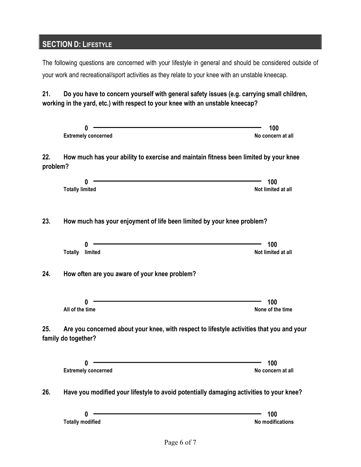## **SECTION D: LIFESTYLE**

The following questions are concerned with your lifestyle in general and should be considered outside of your work and recreational/sport activities as they relate to your knee with an unstable kneecap.

**21. Do you have to concern yourself with general safety issues (e.g. carrying small children, working in the yard, etc.) with respect to your knee with an unstable kneecap?**

|                 | 0<br><b>Extremely concerned</b>                                                                                  | 100<br>No concern at all       |
|-----------------|------------------------------------------------------------------------------------------------------------------|--------------------------------|
| 22.<br>problem? | How much has your ability to exercise and maintain fitness been limited by your knee                             |                                |
|                 | 0<br><b>Totally limited</b>                                                                                      | 100<br>Not limited at all      |
| 23.             | How much has your enjoyment of life been limited by your knee problem?                                           |                                |
|                 | O<br><b>Totally</b> limited                                                                                      | 100<br>Not limited at all      |
| 24.             | How often are you aware of your knee problem?                                                                    |                                |
|                 | 0<br>All of the time                                                                                             | 100<br>None of the time        |
| 25.             | Are you concerned about your knee, with respect to lifestyle activities that you and your<br>family do together? |                                |
|                 | 0<br><b>Extremely concerned</b>                                                                                  | 100<br>No concern at all       |
| 26.             | Have you modified your lifestyle to avoid potentially damaging activities to your knee?                          |                                |
|                 | 0<br><b>Totally modified</b>                                                                                     | 100<br><b>No modifications</b> |